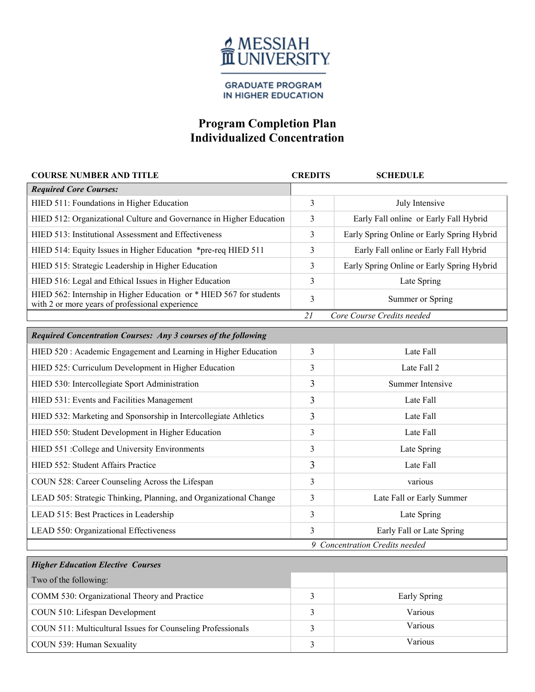

**GRADUATE PROGRAM** IN HIGHER EDUCATION

## **Program Completion Plan Individualized Concentration**

| <b>COURSE NUMBER AND TITLE</b>                                                                                         | <b>CREDITS</b> | <b>SCHEDULE</b>                            |
|------------------------------------------------------------------------------------------------------------------------|----------------|--------------------------------------------|
| <b>Required Core Courses:</b>                                                                                          |                |                                            |
| HIED 511: Foundations in Higher Education                                                                              | 3              | July Intensive                             |
| HIED 512: Organizational Culture and Governance in Higher Education                                                    | 3              | Early Fall online or Early Fall Hybrid     |
| HIED 513: Institutional Assessment and Effectiveness                                                                   | 3              | Early Spring Online or Early Spring Hybrid |
| HIED 514: Equity Issues in Higher Education *pre-req HIED 511                                                          | 3              | Early Fall online or Early Fall Hybrid     |
| HIED 515: Strategic Leadership in Higher Education                                                                     | 3              | Early Spring Online or Early Spring Hybrid |
| HIED 516: Legal and Ethical Issues in Higher Education                                                                 | 3              | Late Spring                                |
| HIED 562: Internship in Higher Education or * HIED 567 for students<br>with 2 or more years of professional experience | 3              | Summer or Spring                           |
|                                                                                                                        | 21             | Core Course Credits needed                 |
| Required Concentration Courses: Any 3 courses of the following                                                         |                |                                            |
| HIED 520 : Academic Engagement and Learning in Higher Education                                                        | 3              | Late Fall                                  |
| HIED 525: Curriculum Development in Higher Education                                                                   | 3              | Late Fall 2                                |
| HIED 530: Intercollegiate Sport Administration                                                                         | 3              | Summer Intensive                           |
| HIED 531: Events and Facilities Management                                                                             | 3              | Late Fall                                  |
| HIED 532: Marketing and Sponsorship in Intercollegiate Athletics                                                       | 3              | Late Fall                                  |
| HIED 550: Student Development in Higher Education                                                                      | 3              | Late Fall                                  |
| HIED 551 :College and University Environments                                                                          | 3              | Late Spring                                |
| HIED 552: Student Affairs Practice                                                                                     | 3              | Late Fall                                  |
| COUN 528: Career Counseling Across the Lifespan                                                                        | 3              | various                                    |
| LEAD 505: Strategic Thinking, Planning, and Organizational Change                                                      | 3              | Late Fall or Early Summer                  |
| LEAD 515: Best Practices in Leadership                                                                                 | 3              | Late Spring                                |
| LEAD 550: Organizational Effectiveness                                                                                 | 3              | Early Fall or Late Spring                  |
|                                                                                                                        |                | 9 Concentration Credits needed             |
| <b>Higher Education Elective Courses</b>                                                                               |                |                                            |
| Two of the following:                                                                                                  |                |                                            |
| COMM 530: Organizational Theory and Practice                                                                           | 3              | Early Spring                               |
| COUN 510: Lifespan Development                                                                                         | 3              | Various                                    |
| COUN 511: Multicultural Issues for Counseling Professionals                                                            | 3              | Various                                    |
| COUN 539: Human Sexuality                                                                                              | 3              | Various                                    |